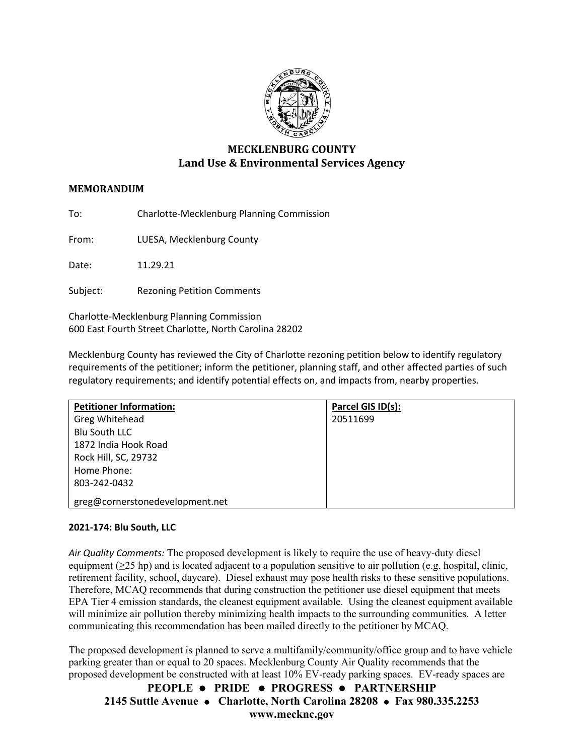

# **MECKLENBURG COUNTY Land Use & Environmental Services Agency**

# **MEMORANDUM**

To: Charlotte-Mecklenburg Planning Commission

From: LUESA, Mecklenburg County

Date: 11.29.21

Subject: Rezoning Petition Comments

Charlotte-Mecklenburg Planning Commission 600 East Fourth Street Charlotte, North Carolina 28202

Mecklenburg County has reviewed the City of Charlotte rezoning petition below to identify regulatory requirements of the petitioner; inform the petitioner, planning staff, and other affected parties of such regulatory requirements; and identify potential effects on, and impacts from, nearby properties.

| <b>Petitioner Information:</b>  | Parcel GIS ID(s): |
|---------------------------------|-------------------|
| Greg Whitehead                  | 20511699          |
| <b>Blu South LLC</b>            |                   |
| 1872 India Hook Road            |                   |
| Rock Hill, SC, 29732            |                   |
| Home Phone:                     |                   |
| 803-242-0432                    |                   |
| greg@cornerstonedevelopment.net |                   |

## **2021-174: Blu South, LLC**

*Air Quality Comments:* The proposed development is likely to require the use of heavy-duty diesel equipment ( $\geq$ 25 hp) and is located adjacent to a population sensitive to air pollution (e.g. hospital, clinic, retirement facility, school, daycare). Diesel exhaust may pose health risks to these sensitive populations. Therefore, MCAQ recommends that during construction the petitioner use diesel equipment that meets EPA Tier 4 emission standards, the cleanest equipment available. Using the cleanest equipment available will minimize air pollution thereby minimizing health impacts to the surrounding communities. A letter communicating this recommendation has been mailed directly to the petitioner by MCAQ.

The proposed development is planned to serve a multifamily/community/office group and to have vehicle parking greater than or equal to 20 spaces. Mecklenburg County Air Quality recommends that the proposed development be constructed with at least 10% EV-ready parking spaces. EV-ready spaces are

**PEOPLE PRIDE PROGRESS PARTNERSHIP 2145 Suttle Avenue Charlotte, North Carolina 28208 Fax 980.335.2253 www.mecknc.gov**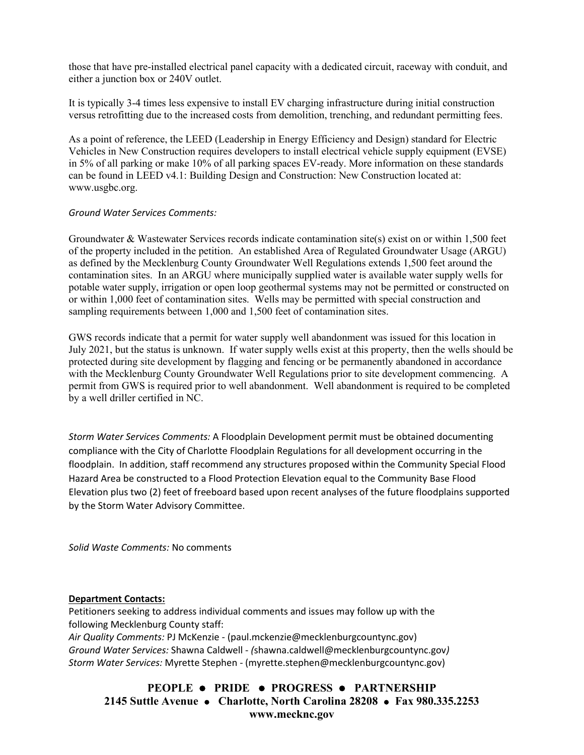those that have pre-installed electrical panel capacity with a dedicated circuit, raceway with conduit, and either a junction box or 240V outlet.

It is typically 3-4 times less expensive to install EV charging infrastructure during initial construction versus retrofitting due to the increased costs from demolition, trenching, and redundant permitting fees.

As a point of reference, the LEED (Leadership in Energy Efficiency and Design) standard for Electric Vehicles in New Construction requires developers to install electrical vehicle supply equipment (EVSE) in 5% of all parking or make 10% of all parking spaces EV-ready. More information on these standards can be found in LEED v4.1: Building Design and Construction: New Construction located at: [www.usgbc.org.](http://www.usgbc.org/)

#### *Ground Water Services Comments:*

Groundwater & Wastewater Services records indicate contamination site(s) exist on or within 1,500 feet of the property included in the petition. An established Area of Regulated Groundwater Usage (ARGU) as defined by the Mecklenburg County Groundwater Well Regulations extends 1,500 feet around the contamination sites. In an ARGU where municipally supplied water is available water supply wells for potable water supply, irrigation or open loop geothermal systems may not be permitted or constructed on or within 1,000 feet of contamination sites. Wells may be permitted with special construction and sampling requirements between 1,000 and 1,500 feet of contamination sites.

GWS records indicate that a permit for water supply well abandonment was issued for this location in July 2021, but the status is unknown. If water supply wells exist at this property, then the wells should be protected during site development by flagging and fencing or be permanently abandoned in accordance with the Mecklenburg County Groundwater Well Regulations prior to site development commencing. A permit from GWS is required prior to well abandonment. Well abandonment is required to be completed by a well driller certified in NC.

*Storm Water Services Comments:* A Floodplain Development permit must be obtained documenting compliance with the City of Charlotte Floodplain Regulations for all development occurring in the floodplain. In addition, staff recommend any structures proposed within the Community Special Flood Hazard Area be constructed to a Flood Protection Elevation equal to the Community Base Flood Elevation plus two (2) feet of freeboard based upon recent analyses of the future floodplains supported by the Storm Water Advisory Committee.

*Solid Waste Comments:* No comments

#### **Department Contacts:**

Petitioners seeking to address individual comments and issues may follow up with the following Mecklenburg County staff: *Air Quality Comments:* PJ McKenzie - (paul.mckenzie@mecklenburgcountync.gov) *Ground Water Services:* Shawna Caldwell - *(*shawna.caldwell@mecklenburgcountync.gov*)*

*Storm Water Services:* Myrette Stephen - (myrette.stephen@mecklenburgcountync.gov)

**PEOPLE PRIDE PROGRESS PARTNERSHIP 2145 Suttle Avenue Charlotte, North Carolina 28208 Fax 980.335.2253 www.mecknc.gov**